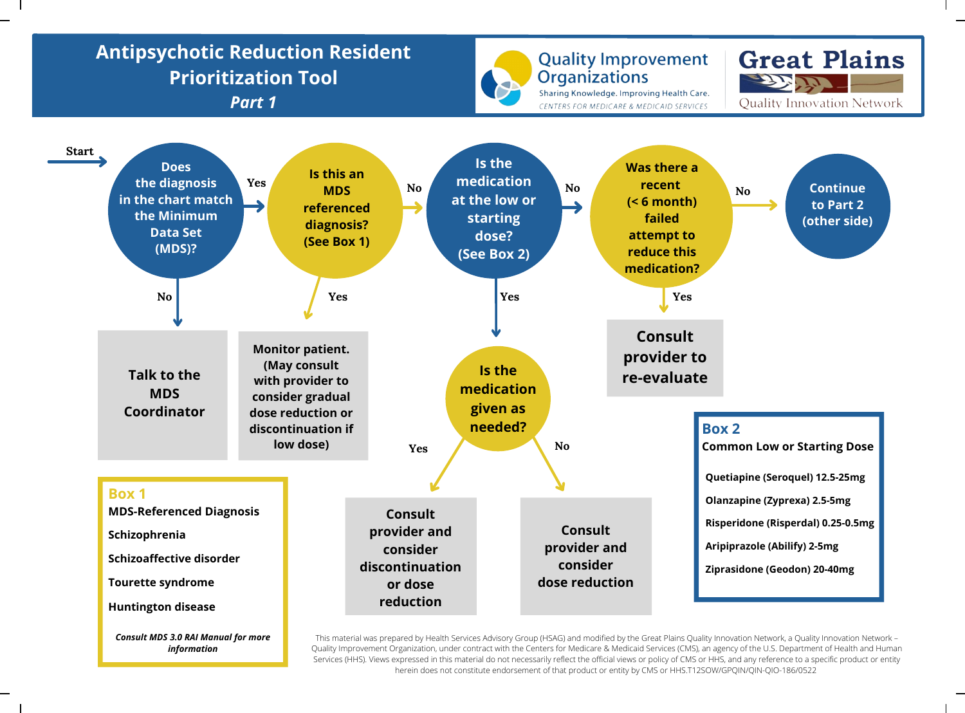## **Antipsychotic Reduction Resident Great Plains Quality Improvement Prioritization Tool Organizations** 22 T. T Sharing Knowledge. Improving Health Care. *Part 1* **Ouality Innovation Network** CENTERS FOR MEDICARE & MEDICAID SERVICES **Start Is the Does Was there a Is this an medication the diagnosis Yes recent Continue MDS** No *No* **No** *No No No No No* **in the chart match at the low or (< 6 month) to Part 2 referenced the Minimum starting failed (other side) diagnosis? Data Set dose? attempt to (See Box 1) (MDS)? reduce this (See Box 2) medication?** No **Yes Yes Yes Yes Yes Yes Yes Yes Yes Consult Monitor patient. provider to (May consult Is the Talk to the re-evaluate with provider to medication MDS consider gradual given as Coordinator dose reduction or needed? discontinuation if Box 2 low dose) Common Low or Starting Dose** Yes No **Quetiapine (Seroquel) 12.5-25mg Box 1 Olanzapine (Zyprexa) 2.5-5mg MDS-Referenced Diagnosis Consult Risperidone (Risperdal) 0.25-0.5mg Consult provider and Schizophrenia provider and Aripiprazole (Abilify) 2-5mg consider Schizoaffective disorder consider discontinuation Ziprasidone (Geodon) 20-40mg dose reduction Tourette syndrome or dose reduction Huntington disease** *Consult MDS 3.0 RAI Manual for more*

*information*

This material was prepared by Health Services Advisory Group (HSAG) and modified by the Great Plains Quality Innovation Network, a Quality Innovation Network – Quality Improvement Organization, under contract with the Centers for Medicare & Medicaid Services (CMS), an agency of the U.S. Department of Health and Human Services (HHS). Views expressed in this material do not necessarily reflect the official views or policy of CMS or HHS, and any reference to a specific product or entity herein does not constitute endorsement of that product or entity by CMS or HHS.T12SOW/GPQIN/QIN-QIO-186/0522